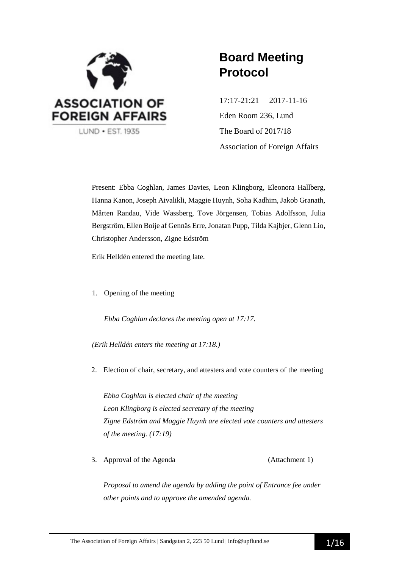

# **Board Meeting Protocol**

17:17-21:21 2017-11-16 Eden Room 236, Lund The Board of 2017/18 Association of Foreign Affairs

Present: Ebba Coghlan, James Davies, Leon Klingborg, Eleonora Hallberg, Hanna Kanon, Joseph Aivalikli, Maggie Huynh, Soha Kadhim, Jakob Granath, Mårten Randau, Vide Wassberg, Tove Jörgensen, Tobias Adolfsson, Julia Bergström, Ellen Boije af Gennäs Erre, Jonatan Pupp, Tilda Kajbjer, Glenn Lio, Christopher Andersson, Zigne Edström

Erik Helldén entered the meeting late.

1. Opening of the meeting

*Ebba Coghlan declares the meeting open at 17:17.*

*(Erik Helldén enters the meeting at 17:18.)*

2. Election of chair, secretary, and attesters and vote counters of the meeting

*Ebba Coghlan is elected chair of the meeting Leon Klingborg is elected secretary of the meeting Zigne Edström and Maggie Huynh are elected vote counters and attesters of the meeting. (17:19)*

3. Approval of the Agenda (Attachment 1)

*Proposal to amend the agenda by adding the point of Entrance fee under other points and to approve the amended agenda.*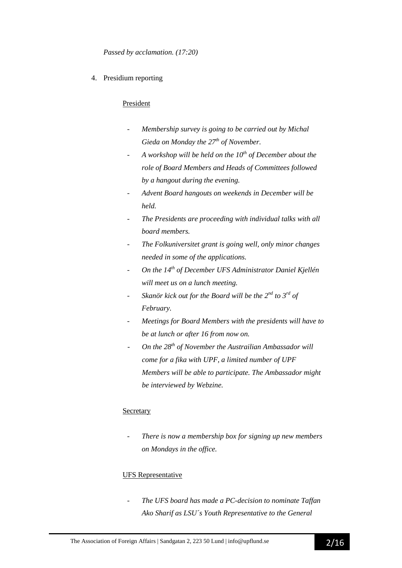4. Presidium reporting

#### President

- *Membership survey is going to be carried out by Michal Gieda on Monday the 27th of November.*
- *A workshop will be held on the 10th of December about the role of Board Members and Heads of Committees followed by a hangout during the evening.*
- *Advent Board hangouts on weekends in December will be held.*
- *The Presidents are proceeding with individual talks with all board members.*
- *The Folkuniversitet grant is going well, only minor changes needed in some of the applications.*
- *On the 14th of December UFS Administrator Daniel Kjellén will meet us on a lunch meeting.*
- *-* Skanör kick out for the Board will be the  $2^{nd}$  to  $3^{rd}$  of *February.*
- *Meetings for Board Members with the presidents will have to be at lunch or after 16 from now on.*
- *On the 28th of November the Austrailian Ambassador will come for a fika with UPF, a limited number of UPF Members will be able to participate. The Ambassador might be interviewed by Webzine.*

#### Secretary

- *There is now a membership box for signing up new members on Mondays in the office.*

### UFS Representative

- *The UFS board has made a PC-decision to nominate Taffan Ako Sharif as LSU´s Youth Representative to the General*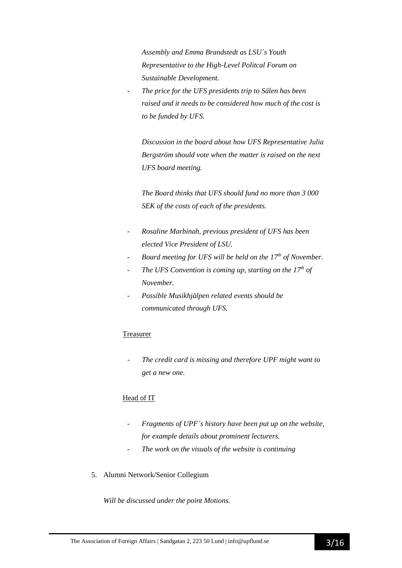*Assembly and Emma Brandstedt as LSU´s Youth Representative to the High-Level Politcal Forum on Sustainable Development.*

- *The price for the UFS presidents trip to Sälen has been raised and it needs to be considered how much of the cost is to be funded by UFS.*

*Discussion in the board about how UFS Representative Julia Bergström should vote when the matter is raised on the next UFS board meeting.*

*The Board thinks that UFS should fund no more than 3 000 SEK of the costs of each of the presidents.*

- *Rosaline Marbinah, previous president of UFS has been elected Vice President of LSU.*
- *Board meeting for UFS will be held on the 17th of November.*
- The UFS Convention is coming up, starting on the  $17<sup>th</sup>$  of *November.*
- *Possible Musikhjälpen related events should be communicated through UFS.*

### Treasurer

The credit card is missing and therefore UPF might want to *get a new one.*

### Head of IT

- *Fragments of UPF´s history have been put up on the website, for example details about prominent lecturers.*
- The work on the visuals of the website is continuing
- 5. Alumni Network/Senior Collegium

*Will be discussed under the point Motions.*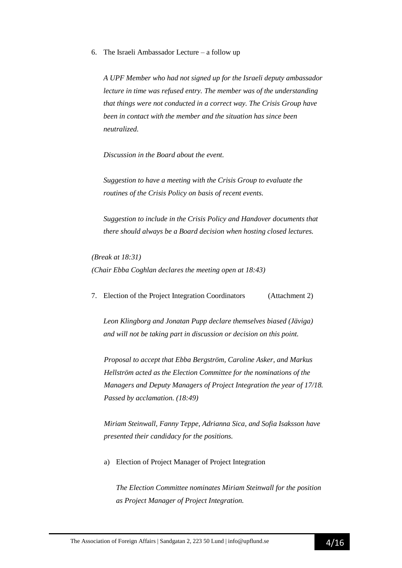6. The Israeli Ambassador Lecture – a follow up

*A UPF Member who had not signed up for the Israeli deputy ambassador lecture in time was refused entry. The member was of the understanding that things were not conducted in a correct way. The Crisis Group have been in contact with the member and the situation has since been neutralized.*

*Discussion in the Board about the event.*

*Suggestion to have a meeting with the Crisis Group to evaluate the routines of the Crisis Policy on basis of recent events.* 

*Suggestion to include in the Crisis Policy and Handover documents that there should always be a Board decision when hosting closed lectures.*

*(Break at 18:31) (Chair Ebba Coghlan declares the meeting open at 18:43)*

7. Election of the Project Integration Coordinators (Attachment 2)

*Leon Klingborg and Jonatan Pupp declare themselves biased (Jäviga) and will not be taking part in discussion or decision on this point.*

*Proposal to accept that Ebba Bergström, Caroline Asker, and Markus Hellström acted as the Election Committee for the nominations of the Managers and Deputy Managers of Project Integration the year of 17/18. Passed by acclamation. (18:49)*

*Miriam Steinwall, Fanny Teppe, Adrianna Sica, and Sofia Isaksson have presented their candidacy for the positions.*

a) Election of Project Manager of Project Integration

*The Election Committee nominates Miriam Steinwall for the position as Project Manager of Project Integration.*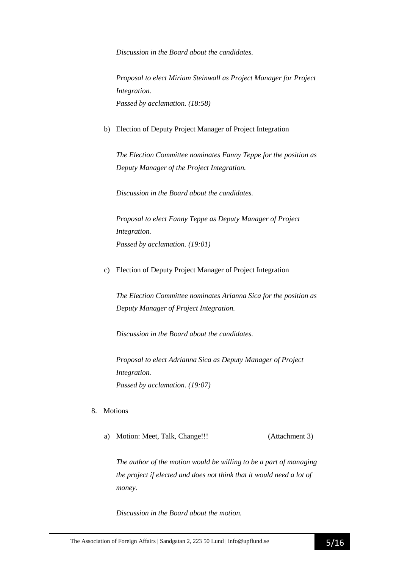*Discussion in the Board about the candidates.*

*Proposal to elect Miriam Steinwall as Project Manager for Project Integration. Passed by acclamation. (18:58)*

b) Election of Deputy Project Manager of Project Integration

*The Election Committee nominates Fanny Teppe for the position as Deputy Manager of the Project Integration.*

*Discussion in the Board about the candidates.*

*Proposal to elect Fanny Teppe as Deputy Manager of Project Integration. Passed by acclamation. (19:01)*

c) Election of Deputy Project Manager of Project Integration

*The Election Committee nominates Arianna Sica for the position as Deputy Manager of Project Integration.*

*Discussion in the Board about the candidates.*

*Proposal to elect Adrianna Sica as Deputy Manager of Project Integration. Passed by acclamation. (19:07)*

- 8. Motions
	- a) Motion: Meet, Talk, Change!!! (Attachment 3)

*The author of the motion would be willing to be a part of managing the project if elected and does not think that it would need a lot of money.*

*Discussion in the Board about the motion.*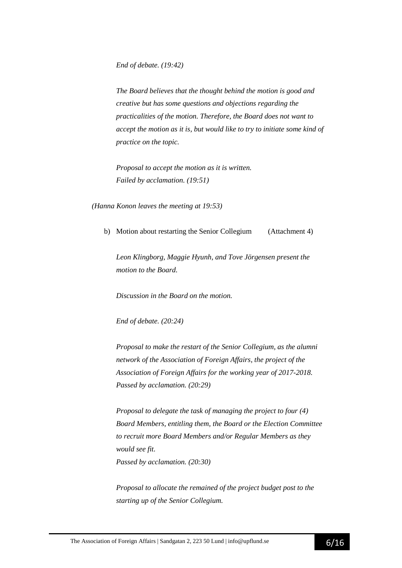*End of debate. (19:42)*

*The Board believes that the thought behind the motion is good and creative but has some questions and objections regarding the practicalities of the motion. Therefore, the Board does not want to accept the motion as it is, but would like to try to initiate some kind of practice on the topic.* 

*Proposal to accept the motion as it is written. Failed by acclamation. (19:51)*

*(Hanna Konon leaves the meeting at 19:53)*

b) Motion about restarting the Senior Collegium (Attachment 4)

*Leon Klingborg, Maggie Hyunh, and Tove Jörgensen present the motion to the Board.*

*Discussion in the Board on the motion.*

*End of debate. (20:24)*

*Proposal to make the restart of the Senior Collegium, as the alumni network of the Association of Foreign Affairs, the project of the Association of Foreign Affairs for the working year of 2017-2018. Passed by acclamation. (20:29)*

*Proposal to delegate the task of managing the project to four (4) Board Members, entitling them, the Board or the Election Committee to recruit more Board Members and/or Regular Members as they would see fit. Passed by acclamation. (20:30)*

*Proposal to allocate the remained of the project budget post to the starting up of the Senior Collegium.*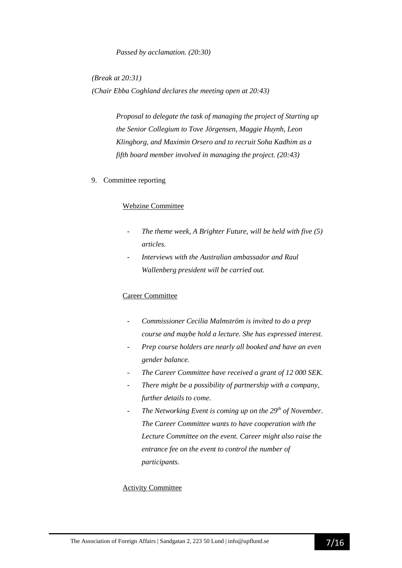*Passed by acclamation. (20:30)*

*(Break at 20:31) (Chair Ebba Coghland declares the meeting open at 20:43)*

> *Proposal to delegate the task of managing the project of Starting up the Senior Collegium to Tove Jörgensen, Maggie Huynh, Leon Klingborg, and Maximin Orsero and to recruit Soha Kadhim as a fifth board member involved in managing the project. (20:43)*

9. Committee reporting

#### Webzine Committee

- *The theme week, A Brighter Future, will be held with five (5) articles.*
- *Interviews with the Australian ambassador and Raul Wallenberg president will be carried out.*

#### Career Committee

- *Commissioner Cecilia Malmström is invited to do a prep course and maybe hold a lecture. She has expressed interest.*
- *Prep course holders are nearly all booked and have an even gender balance.*
- *The Career Committee have received a grant of 12 000 SEK.*
- *There might be a possibility of partnership with a company, further details to come.*
- *The Networking Event is coming up on the 29<sup>th</sup> of November. The Career Committee wants to have cooperation with the Lecture Committee on the event. Career might also raise the entrance fee on the event to control the number of participants.*

#### Activity Committee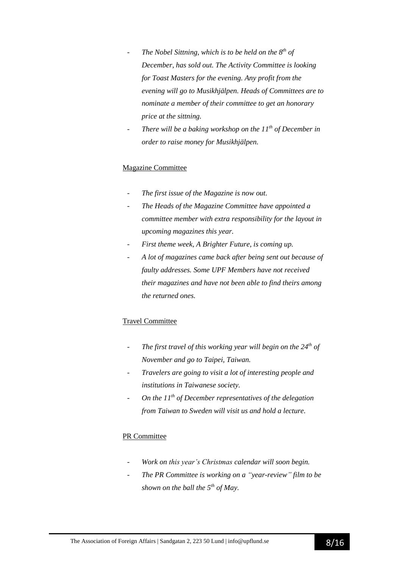- *The Nobel Sittning, which is to be held on the 8th of December, has sold out. The Activity Committee is looking for Toast Masters for the evening. Any profit from the evening will go to Musikhjälpen. Heads of Committees are to nominate a member of their committee to get an honorary price at the sittning.*
- *There will be a baking workshop on the 11<sup>th</sup> of December in order to raise money for Musikhjälpen.*

#### Magazine Committee

- *The first issue of the Magazine is now out.*
- *The Heads of the Magazine Committee have appointed a committee member with extra responsibility for the layout in upcoming magazines this year.*
- *First theme week, A Brighter Future, is coming up.*
- *A lot of magazines came back after being sent out because of faulty addresses. Some UPF Members have not received their magazines and have not been able to find theirs among the returned ones.*

#### Travel Committee

- *- The first travel of this working year will begin on the 24th of November and go to Taipei, Taiwan.*
- *- Travelers are going to visit a lot of interesting people and institutions in Taiwanese society.*
- *- On the 11th of December representatives of the delegation from Taiwan to Sweden will visit us and hold a lecture.*

### PR Committee

- *- Work on this year's Christmas calendar will soon begin.*
- *- The PR Committee is working on a "year-review" film to be shown on the ball the 5th of May.*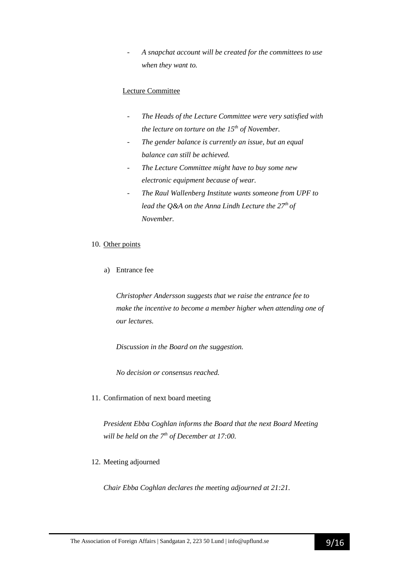*- A snapchat account will be created for the committees to use when they want to.*

#### Lecture Committee

- *The Heads of the Lecture Committee were very satisfied with the lecture on torture on the 15th of November.*
- *The gender balance is currently an issue, but an equal balance can still be achieved.*
- *The Lecture Committee might have to buy some new electronic equipment because of wear.*
- *The Raul Wallenberg Institute wants someone from UPF to lead the Q&A on the Anna Lindh Lecture the 27th of November.*

#### 10. Other points

a) Entrance fee

*Christopher Andersson suggests that we raise the entrance fee to make the incentive to become a member higher when attending one of our lectures.*

*Discussion in the Board on the suggestion.*

*No decision or consensus reached.*

11. Confirmation of next board meeting

*President Ebba Coghlan informs the Board that the next Board Meeting will be held on the 7 th of December at 17:00.*

12. Meeting adjourned

*Chair Ebba Coghlan declares the meeting adjourned at 21:21.*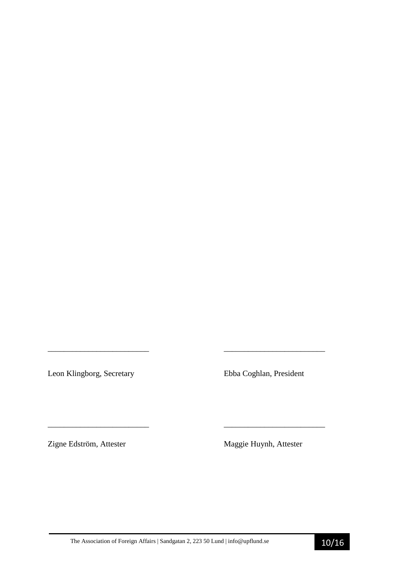Leon Klingborg, Secretary Ebba Coghlan, President

Zigne Edström, Attester Maggie Huynh, Attester

*\_\_\_\_\_\_\_\_\_\_\_\_\_\_\_\_\_\_\_\_\_\_\_\_\_ \_\_\_\_\_\_\_\_\_\_\_\_\_\_\_\_\_\_\_\_\_\_\_\_\_* 

\_\_\_\_\_\_\_\_\_\_\_\_\_\_\_\_\_\_\_\_\_\_\_\_\_ \_\_\_\_\_\_\_\_\_\_\_\_\_\_\_\_\_\_\_\_\_\_\_\_\_

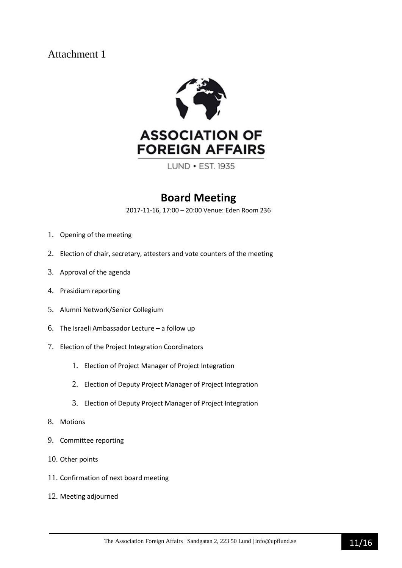

LUND . EST. 1935

## **Board Meeting**

2017-11-16, 17:00 – 20:00 Venue: Eden Room 236

- 1. Opening of the meeting
- 2. Election of chair, secretary, attesters and vote counters of the meeting
- 3. Approval of the agenda
- 4. Presidium reporting
- 5. Alumni Network/Senior Collegium
- 6. The Israeli Ambassador Lecture a follow up
- 7. Election of the Project Integration Coordinators
	- 1. Election of Project Manager of Project Integration
	- 2. Election of Deputy Project Manager of Project Integration
	- 3. Election of Deputy Project Manager of Project Integration
- 8. Motions
- 9. Committee reporting
- 10. Other points
- 11. Confirmation of next board meeting
- 12. Meeting adjourned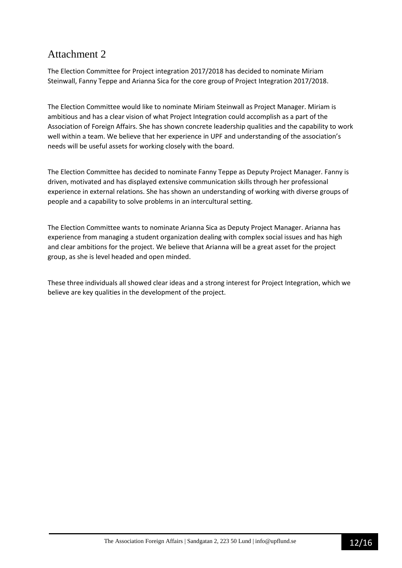The Election Committee for Project integration 2017/2018 has decided to nominate Miriam Steinwall, Fanny Teppe and Arianna Sica for the core group of Project Integration 2017/2018.

The Election Committee would like to nominate Miriam Steinwall as Project Manager. Miriam is ambitious and has a clear vision of what Project Integration could accomplish as a part of the Association of Foreign Affairs. She has shown concrete leadership qualities and the capability to work well within a team. We believe that her experience in UPF and understanding of the association's needs will be useful assets for working closely with the board.

The Election Committee has decided to nominate Fanny Teppe as Deputy Project Manager. Fanny is driven, motivated and has displayed extensive communication skills through her professional experience in external relations. She has shown an understanding of working with diverse groups of people and a capability to solve problems in an intercultural setting.

The Election Committee wants to nominate Arianna Sica as Deputy Project Manager. Arianna has experience from managing a student organization dealing with complex social issues and has high and clear ambitions for the project. We believe that Arianna will be a great asset for the project group, as she is level headed and open minded.

These three individuals all showed clear ideas and a strong interest for Project Integration, which we believe are key qualities in the development of the project.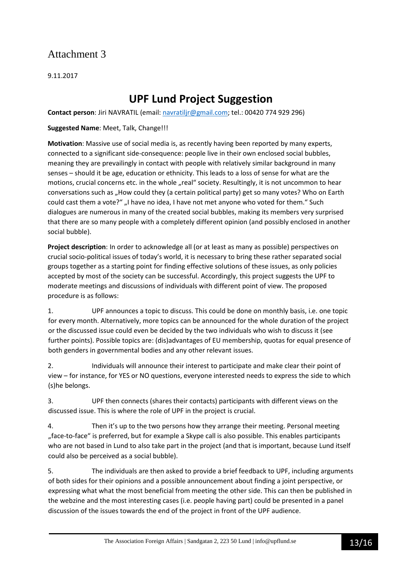9.11.2017

## **UPF Lund Project Suggestion**

**Contact person**: Jiri NAVRATIL (email: navratiljr@gmail.com; tel.: 00420 774 929 296)

**Suggested Name**: Meet, Talk, Change!!!

**Motivation**: Massive use of social media is, as recently having been reported by many experts, connected to a significant side-consequence: people live in their own enclosed social bubbles, meaning they are prevailingly in contact with people with relatively similar background in many senses – should it be age, education or ethnicity. This leads to a loss of sense for what are the motions, crucial concerns etc. in the whole "real" society. Resultingly, it is not uncommon to hear conversations such as "How could they (a certain political party) get so many votes? Who on Earth could cast them a vote?" "I have no idea, I have not met anyone who voted for them." Such dialogues are numerous in many of the created social bubbles, making its members very surprised that there are so many people with a completely different opinion (and possibly enclosed in another social bubble).

**Project description**: In order to acknowledge all (or at least as many as possible) perspectives on crucial socio-political issues of today's world, it is necessary to bring these rather separated social groups together as a starting point for finding effective solutions of these issues, as only policies accepted by most of the society can be successful. Accordingly, this project suggests the UPF to moderate meetings and discussions of individuals with different point of view. The proposed procedure is as follows:

1. UPF announces a topic to discuss. This could be done on monthly basis, i.e. one topic for every month. Alternatively, more topics can be announced for the whole duration of the project or the discussed issue could even be decided by the two individuals who wish to discuss it (see further points). Possible topics are: (dis)advantages of EU membership, quotas for equal presence of both genders in governmental bodies and any other relevant issues.

2. Individuals will announce their interest to participate and make clear their point of view – for instance, for YES or NO questions, everyone interested needs to express the side to which (s)he belongs.

3. UPF then connects (shares their contacts) participants with different views on the discussed issue. This is where the role of UPF in the project is crucial.

4. Then it's up to the two persons how they arrange their meeting. Personal meeting "face-to-face" is preferred, but for example a Skype call is also possible. This enables participants who are not based in Lund to also take part in the project (and that is important, because Lund itself could also be perceived as a social bubble).

5. The individuals are then asked to provide a brief feedback to UPF, including arguments of both sides for their opinions and a possible announcement about finding a joint perspective, or expressing what what the most beneficial from meeting the other side. This can then be published in the webzine and the most interesting cases (i.e. people having part) could be presented in a panel discussion of the issues towards the end of the project in front of the UPF audience.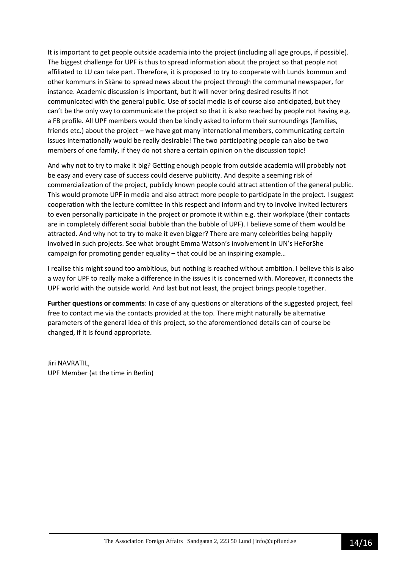It is important to get people outside academia into the project (including all age groups, if possible). The biggest challenge for UPF is thus to spread information about the project so that people not affiliated to LU can take part. Therefore, it is proposed to try to cooperate with Lunds kommun and other kommuns in Skåne to spread news about the project through the communal newspaper, for instance. Academic discussion is important, but it will never bring desired results if not communicated with the general public. Use of social media is of course also anticipated, but they can't be the only way to communicate the project so that it is also reached by people not having e.g. a FB profile. All UPF members would then be kindly asked to inform their surroundings (families, friends etc.) about the project – we have got many international members, communicating certain issues internationally would be really desirable! The two participating people can also be two members of one family, if they do not share a certain opinion on the discussion topic!

And why not to try to make it big? Getting enough people from outside academia will probably not be easy and every case of success could deserve publicity. And despite a seeming risk of commercialization of the project, publicly known people could attract attention of the general public. This would promote UPF in media and also attract more people to participate in the project. I suggest cooperation with the lecture comittee in this respect and inform and try to involve invited lecturers to even personally participate in the project or promote it within e.g. their workplace (their contacts are in completely different social bubble than the bubble of UPF). I believe some of them would be attracted. And why not to try to make it even bigger? There are many celebrities being happily involved in such projects. See what brought Emma Watson's involvement in UN's HeForShe campaign for promoting gender equality – that could be an inspiring example…

I realise this might sound too ambitious, but nothing is reached without ambition. I believe this is also a way for UPF to really make a difference in the issues it is concerned with. Moreover, it connects the UPF world with the outside world. And last but not least, the project brings people together.

**Further questions or comments**: In case of any questions or alterations of the suggested project, feel free to contact me via the contacts provided at the top. There might naturally be alternative parameters of the general idea of this project, so the aforementioned details can of course be changed, if it is found appropriate.

Jiri NAVRATIL, UPF Member (at the time in Berlin)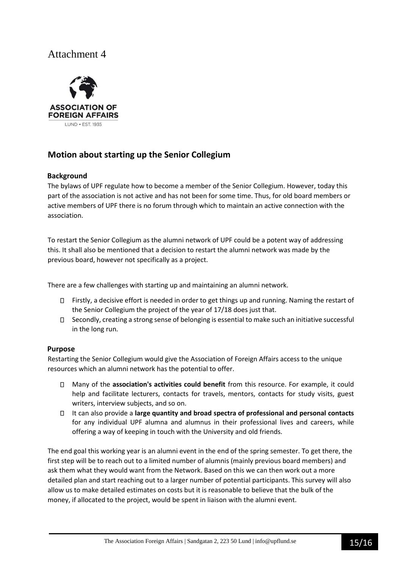

### **Motion about starting up the Senior Collegium**

#### **Background**

The bylaws of UPF regulate how to become a member of the Senior Collegium. However, today this part of the association is not active and has not been for some time. Thus, for old board members or active members of UPF there is no forum through which to maintain an active connection with the association.

To restart the Senior Collegium as the alumni network of UPF could be a potent way of addressing this. It shall also be mentioned that a decision to restart the alumni network was made by the previous board, however not specifically as a project.

There are a few challenges with starting up and maintaining an alumni network.

- $\Box$  Firstly, a decisive effort is needed in order to get things up and running. Naming the restart of the Senior Collegium the project of the year of 17/18 does just that.
- $\Box$  Secondly, creating a strong sense of belonging is essential to make such an initiative successful in the long run.

#### **Purpose**

Restarting the Senior Collegium would give the Association of Foreign Affairs access to the unique resources which an alumni network has the potential to offer.

- Many of the **association's activities could benefit** from this resource. For example, it could help and facilitate lecturers, contacts for travels, mentors, contacts for study visits, guest writers, interview subjects, and so on.
- It can also provide a **large quantity and broad spectra of professional and personal contacts** for any individual UPF alumna and alumnus in their professional lives and careers, while offering a way of keeping in touch with the University and old friends.

The end goal this working year is an alumni event in the end of the spring semester. To get there, the first step will be to reach out to a limited number of alumnis (mainly previous board members) and ask them what they would want from the Network. Based on this we can then work out a more detailed plan and start reaching out to a larger number of potential participants. This survey will also allow us to make detailed estimates on costs but it is reasonable to believe that the bulk of the money, if allocated to the project, would be spent in liaison with the alumni event.